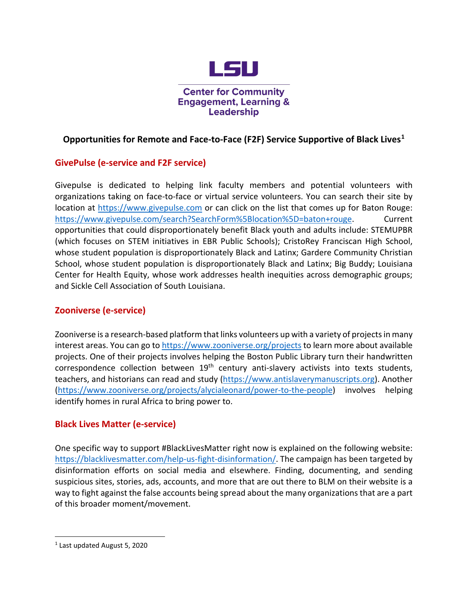

**Center for Community Engagement, Learning & Leadership** 

# **Opportunities for Remote and Face-to-Face (F2F) Service Supportive of Black Lives[1](#page-0-0)**

# **GivePulse (e-service and F2F service)**

Givepulse is dedicated to helping link faculty members and potential volunteers with organizations taking on face-to-face or virtual service volunteers. You can search their site by location at https://www.givepulse.com or can click on the list that comes up for Baton Rouge: https://www.givepulse.com/search?SearchForm%5Blocation%5D=baton+rouge. Current opportunities that could disproportionately benefit Black youth and adults include: STEMUPBR (which focuses on STEM initiatives in EBR Public Schools); CristoRey Franciscan High School, whose student population is disproportionately Black and Latinx; Gardere Community Christian School, whose student population is disproportionately Black and Latinx; Big Buddy; Louisiana Center for Health Equity, whose work addresses health inequities across demographic groups; and Sickle Cell Association of South Louisiana.

# **Zooniverse (e-service)**

Zooniverse is a research-based platform that links volunteers up with a variety of projects in many interest areas. You can go to https://www.zooniverse.org/projects to learn more about available projects. One of their projects involves helping the Boston Public Library turn their handwritten correspondence collection between  $19<sup>th</sup>$  century anti-slavery activists into texts students, teachers, and historians can read and study (https://www.antislaverymanuscripts.org). Another (https://www.zooniverse.org/projects/alycialeonard/power-to-the-people) involves helping identify homes in rural Africa to bring power to.

### **Black Lives Matter (e-service)**

One specific way to support #BlackLivesMatter right now is explained on the following website: https://blacklivesmatter.com/help-us-fight-disinformation/. The campaign has been targeted by disinformation efforts on social media and elsewhere. Finding, documenting, and sending suspicious sites, stories, ads, accounts, and more that are out there to BLM on their website is a way to fight against the false accounts being spread about the many organizations that are a part of this broader moment/movement.

 $\overline{a}$ 

<span id="page-0-0"></span><sup>1</sup> Last updated August 5, 2020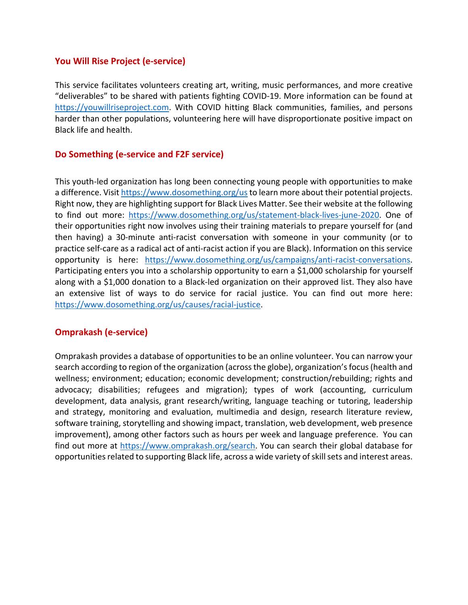### **You Will Rise Project (e-service)**

This service facilitates volunteers creating art, writing, music performances, and more creative "deliverables" to be shared with patients fighting COVID-19. More information can be found at https://youwillriseproject.com. With COVID hitting Black communities, families, and persons harder than other populations, volunteering here will have disproportionate positive impact on Black life and health.

### **Do Something (e-service and F2F service)**

This youth-led organization has long been connecting young people with opportunities to make a difference. Visit https://www.dosomething.org/usto learn more about their potential projects. Right now, they are highlighting support for Black Lives Matter. See their website at the following to find out more: https://www.dosomething.org/us/statement-black-lives-june-2020. One of their opportunities right now involves using their training materials to prepare yourself for (and then having) a 30-minute anti-racist conversation with someone in your community (or to practice self-care as a radical act of anti-racist action if you are Black). Information on this service opportunity is here: https://www.dosomething.org/us/campaigns/anti-racist-conversations. Participating enters you into a scholarship opportunity to earn a \$1,000 scholarship for yourself along with a \$1,000 donation to a Black-led organization on their approved list. They also have an extensive list of ways to do service for racial justice. You can find out more here: https://www.dosomething.org/us/causes/racial-justice.

### **Omprakash (e-service)**

Omprakash provides a database of opportunities to be an online volunteer. You can narrow your search according to region of the organization (across the globe), organization's focus (health and wellness; environment; education; economic development; construction/rebuilding; rights and advocacy; disabilities; refugees and migration); types of work (accounting, curriculum development, data analysis, grant research/writing, language teaching or tutoring, leadership and strategy, monitoring and evaluation, multimedia and design, research literature review, software training, storytelling and showing impact, translation, web development, web presence improvement), among other factors such as hours per week and language preference. You can find out more at https://www.omprakash.org/search. You can search their global database for opportunities related to supporting Black life, across a wide variety of skill sets and interest areas.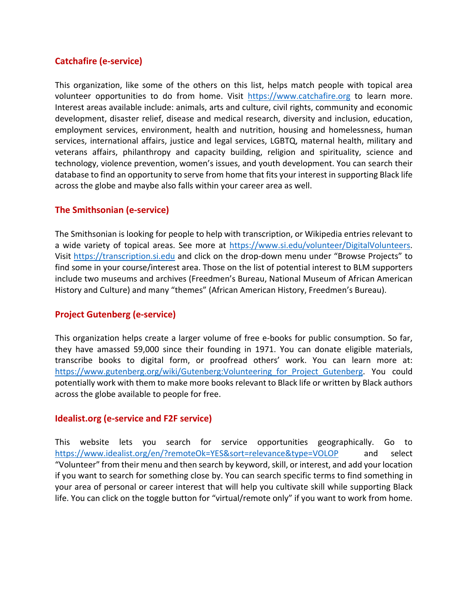## **Catchafire (e-service)**

This organization, like some of the others on this list, helps match people with topical area volunteer opportunities to do from home. Visit https://www.catchafire.org to learn more. Interest areas available include: animals, arts and culture, civil rights, community and economic development, disaster relief, disease and medical research, diversity and inclusion, education, employment services, environment, health and nutrition, housing and homelessness, human services, international affairs, justice and legal services, LGBTQ, maternal health, military and veterans affairs, philanthropy and capacity building, religion and spirituality, science and technology, violence prevention, women's issues, and youth development. You can search their database to find an opportunity to serve from home that fits your interest in supporting Black life across the globe and maybe also falls within your career area as well.

### **The Smithsonian (e-service)**

The Smithsonian is looking for people to help with transcription, or Wikipedia entries relevant to a wide variety of topical areas. See more at https://www.si.edu/volunteer/DigitalVolunteers. Visit https://transcription.si.edu and click on the drop-down menu under "Browse Projects" to find some in your course/interest area. Those on the list of potential interest to BLM supporters include two museums and archives (Freedmen's Bureau, National Museum of African American History and Culture) and many "themes" (African American History, Freedmen's Bureau).

### **Project Gutenberg (e-service)**

This organization helps create a larger volume of free e-books for public consumption. So far, they have amassed 59,000 since their founding in 1971. You can donate eligible materials, transcribe books to digital form, or proofread others' work. You can learn more at: https://www.gutenberg.org/wiki/Gutenberg:Volunteering for Project Gutenberg. You could potentially work with them to make more books relevant to Black life or written by Black authors across the globe available to people for free.

#### **Idealist.org (e-service and F2F service)**

This website lets you search for service opportunities geographically. Go to https://www.idealist.org/en/?remoteOk=YES&sort=relevance&type=VOLOP and select "Volunteer" from their menu and then search by keyword, skill, or interest, and add your location if you want to search for something close by. You can search specific terms to find something in your area of personal or career interest that will help you cultivate skill while supporting Black life. You can click on the toggle button for "virtual/remote only" if you want to work from home.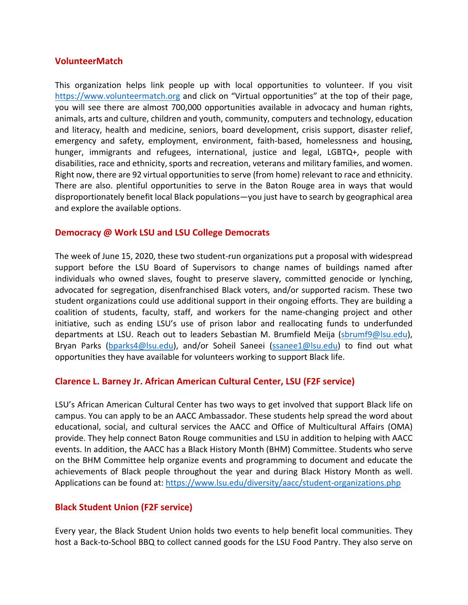#### **VolunteerMatch**

This organization helps link people up with local opportunities to volunteer. If you visit https://www.volunteermatch.org and click on "Virtual opportunities" at the top of their page, you will see there are almost 700,000 opportunities available in advocacy and human rights, animals, arts and culture, children and youth, community, computers and technology, education and literacy, health and medicine, seniors, board development, crisis support, disaster relief, emergency and safety, employment, environment, faith-based, homelessness and housing, hunger, immigrants and refugees, international, justice and legal, LGBTQ+, people with disabilities, race and ethnicity, sports and recreation, veterans and military families, and women. Right now, there are 92 virtual opportunities to serve (from home) relevant to race and ethnicity. There are also. plentiful opportunities to serve in the Baton Rouge area in ways that would disproportionately benefit local Black populations—you just have to search by geographical area and explore the available options.

#### **Democracy @ Work LSU and LSU College Democrats**

The week of June 15, 2020, these two student-run organizations put a proposal with widespread support before the LSU Board of Supervisors to change names of buildings named after individuals who owned slaves, fought to preserve slavery, committed genocide or lynching, advocated for segregation, disenfranchised Black voters, and/or supported racism. These two student organizations could use additional support in their ongoing efforts. They are building a coalition of students, faculty, staff, and workers for the name-changing project and other initiative, such as ending LSU's use of prison labor and reallocating funds to underfunded departments at LSU. Reach out to leaders Sebastian M. Brumfield Meija (sbrumf9@lsu.edu), Bryan Parks (bparks4@lsu.edu), and/or Soheil Saneei (ssanee1@lsu.edu) to find out what opportunities they have available for volunteers working to support Black life.

#### **Clarence L. Barney Jr. African American Cultural Center, LSU (F2F service)**

LSU's African American Cultural Center has two ways to get involved that support Black life on campus. You can apply to be an AACC Ambassador. These students help spread the word about educational, social, and cultural services the AACC and Office of Multicultural Affairs (OMA) provide. They help connect Baton Rouge communities and LSU in addition to helping with AACC events. In addition, the AACC has a Black History Month (BHM) Committee. Students who serve on the BHM Committee help organize events and programming to document and educate the achievements of Black people throughout the year and during Black History Month as well. Applications can be found at: https://www.lsu.edu/diversity/aacc/student-organizations.php

#### **Black Student Union (F2F service)**

Every year, the Black Student Union holds two events to help benefit local communities. They host a Back-to-School BBQ to collect canned goods for the LSU Food Pantry. They also serve on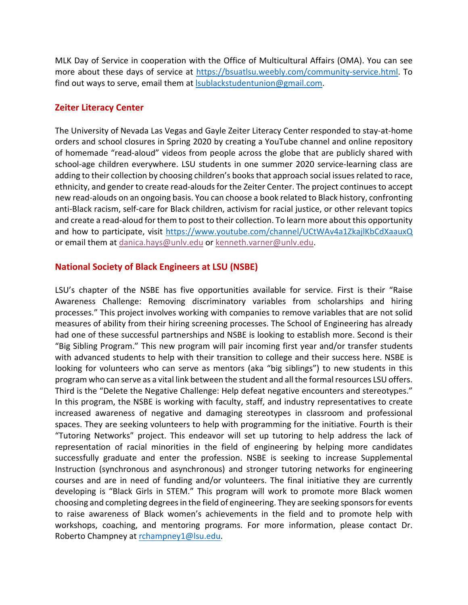MLK Day of Service in cooperation with the Office of Multicultural Affairs (OMA). You can see more about these days of service at https://bsuatlsu.weebly.com/community-service.html. To find out ways to serve, email them at *Isublackstudentunion@gmail.com*.

## **Zeiter Literacy Center**

The University of Nevada Las Vegas and Gayle Zeiter Literacy Center responded to stay-at-home orders and school closures in Spring 2020 by creating a YouTube channel and online repository of homemade "read-aloud" videos from people across the globe that are publicly shared with school-age children everywhere. LSU students in one summer 2020 service-learning class are adding to their collection by choosing children's books that approach social issues related to race, ethnicity, and gender to create read-alouds for the Zeiter Center. The project continues to accept new read-alouds on an ongoing basis. You can choose a book related to Black history, confronting anti-Black racism, self-care for Black children, activism for racial justice, or other relevant topics and create a read-aloud for them to post to their collection. To learn more about this opportunity and how to participate, visit https://www.youtube.com/channel/UCtWAv4a1ZkajlKbCdXaauxQ or email them at danica.hays@unlv.edu or kenneth.varner@unlv.edu.

## **National Society of Black Engineers at LSU (NSBE)**

LSU's chapter of the NSBE has five opportunities available for service. First is their "Raise Awareness Challenge: Removing discriminatory variables from scholarships and hiring processes." This project involves working with companies to remove variables that are not solid measures of ability from their hiring screening processes. The School of Engineering has already had one of these successful partnerships and NSBE is looking to establish more. Second is their "Big Sibling Program." This new program will pair incoming first year and/or transfer students with advanced students to help with their transition to college and their success here. NSBE is looking for volunteers who can serve as mentors (aka "big siblings") to new students in this program who can serve as a vital link between the student and all the formal resources LSU offers. Third is the "Delete the Negative Challenge: Help defeat negative encounters and stereotypes." In this program, the NSBE is working with faculty, staff, and industry representatives to create increased awareness of negative and damaging stereotypes in classroom and professional spaces. They are seeking volunteers to help with programming for the initiative. Fourth is their "Tutoring Networks" project. This endeavor will set up tutoring to help address the lack of representation of racial minorities in the field of engineering by helping more candidates successfully graduate and enter the profession. NSBE is seeking to increase Supplemental Instruction (synchronous and asynchronous) and stronger tutoring networks for engineering courses and are in need of funding and/or volunteers. The final initiative they are currently developing is "Black Girls in STEM." This program will work to promote more Black women choosing and completing degrees in the field of engineering. They are seeking sponsors for events to raise awareness of Black women's achievements in the field and to promote help with workshops, coaching, and mentoring programs. For more information, please contact Dr. Roberto Champney at rchampney1@lsu.edu.